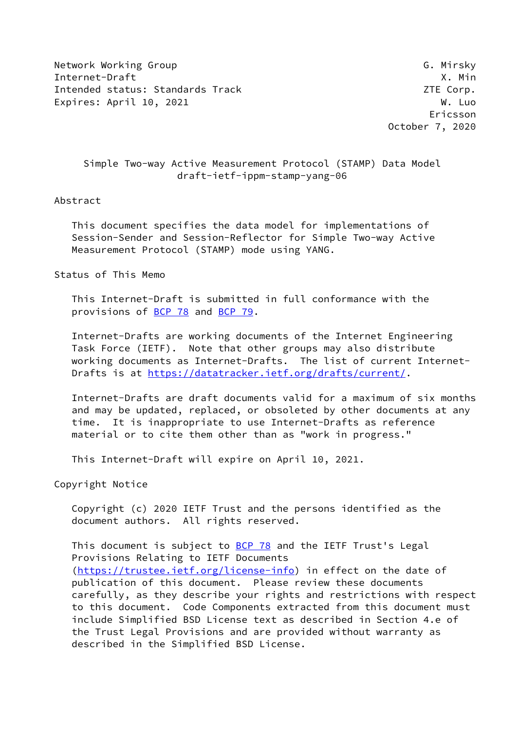Network Working Group Group G. Mirsky Internet-Draft X. Min Intended status: Standards Track ZTE Corp. Expires: April 10, 2021 W. Luo

 Ericsson October 7, 2020

# Simple Two-way Active Measurement Protocol (STAMP) Data Model draft-ietf-ippm-stamp-yang-06

## Abstract

 This document specifies the data model for implementations of Session-Sender and Session-Reflector for Simple Two-way Active Measurement Protocol (STAMP) mode using YANG.

Status of This Memo

 This Internet-Draft is submitted in full conformance with the provisions of [BCP 78](https://datatracker.ietf.org/doc/pdf/bcp78) and [BCP 79](https://datatracker.ietf.org/doc/pdf/bcp79).

 Internet-Drafts are working documents of the Internet Engineering Task Force (IETF). Note that other groups may also distribute working documents as Internet-Drafts. The list of current Internet- Drafts is at<https://datatracker.ietf.org/drafts/current/>.

 Internet-Drafts are draft documents valid for a maximum of six months and may be updated, replaced, or obsoleted by other documents at any time. It is inappropriate to use Internet-Drafts as reference material or to cite them other than as "work in progress."

This Internet-Draft will expire on April 10, 2021.

Copyright Notice

 Copyright (c) 2020 IETF Trust and the persons identified as the document authors. All rights reserved.

This document is subject to **[BCP 78](https://datatracker.ietf.org/doc/pdf/bcp78)** and the IETF Trust's Legal Provisions Relating to IETF Documents [\(https://trustee.ietf.org/license-info](https://trustee.ietf.org/license-info)) in effect on the date of publication of this document. Please review these documents carefully, as they describe your rights and restrictions with respect to this document. Code Components extracted from this document must include Simplified BSD License text as described in Section 4.e of the Trust Legal Provisions and are provided without warranty as described in the Simplified BSD License.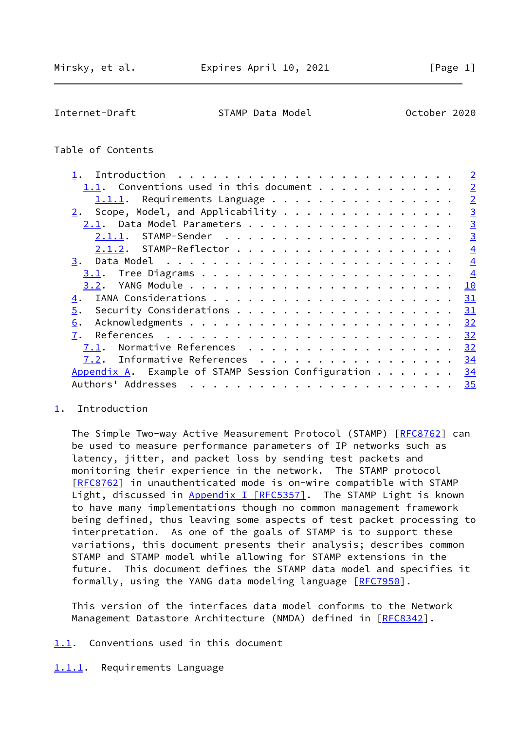<span id="page-1-1"></span>Internet-Draft STAMP Data Model 6 October 2020

## Table of Contents

|                                                             | $\overline{2}$ |
|-------------------------------------------------------------|----------------|
| 1.1. Conventions used in this document                      | $\overline{2}$ |
| Requirements Language<br>1.1.1.                             | $\overline{2}$ |
| Scope, Model, and Applicability<br>2.                       | $\overline{3}$ |
| 2.1.                                                        | $\overline{3}$ |
|                                                             | $\overline{3}$ |
|                                                             | $\overline{4}$ |
| 3.                                                          | $\overline{4}$ |
| 3.1.                                                        | $\overline{4}$ |
| 3.2.                                                        | 10             |
| 4.                                                          | 31             |
| 5.                                                          | 31             |
| 6.                                                          | 32             |
| 7.                                                          | 32             |
| Normative References<br>7.1.                                | 32             |
| Informative References<br>7.2.                              | 34             |
| Appendix A. Example of STAMP Session Configuration $\cdots$ | 34             |
| Authors' Addresses<br>. <b>.</b>                            | 35             |
|                                                             |                |

## <span id="page-1-0"></span>[1](#page-1-0). Introduction

The Simple Two-way Active Measurement Protocol (STAMP) [\[RFC8762](https://datatracker.ietf.org/doc/pdf/rfc8762)] can be used to measure performance parameters of IP networks such as latency, jitter, and packet loss by sending test packets and monitoring their experience in the network. The STAMP protocol [\[RFC8762](https://datatracker.ietf.org/doc/pdf/rfc8762)] in unauthenticated mode is on-wire compatible with STAMP Light, discussed in Appendix [I \[RFC5357\].](https://datatracker.ietf.org/doc/pdf/rfc5357#appendix-I) The STAMP Light is known to have many implementations though no common management framework being defined, thus leaving some aspects of test packet processing to interpretation. As one of the goals of STAMP is to support these variations, this document presents their analysis; describes common STAMP and STAMP model while allowing for STAMP extensions in the future. This document defines the STAMP data model and specifies it formally, using the YANG data modeling language [\[RFC7950](https://datatracker.ietf.org/doc/pdf/rfc7950)].

 This version of the interfaces data model conforms to the Network Management Datastore Architecture (NMDA) defined in [\[RFC8342](https://datatracker.ietf.org/doc/pdf/rfc8342)].

- <span id="page-1-2"></span>[1.1](#page-1-2). Conventions used in this document
- <span id="page-1-3"></span>[1.1.1](#page-1-3). Requirements Language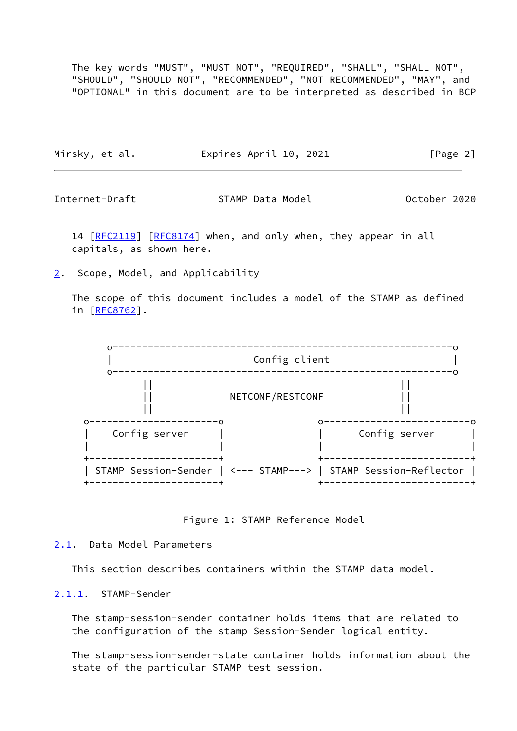The key words "MUST", "MUST NOT", "REQUIRED", "SHALL", "SHALL NOT", "SHOULD", "SHOULD NOT", "RECOMMENDED", "NOT RECOMMENDED", "MAY", and "OPTIONAL" in this document are to be interpreted as described in BCP

|  | Mirsky, et al. | Expires April 10, 2021 | [Page 2] |
|--|----------------|------------------------|----------|
|--|----------------|------------------------|----------|

<span id="page-2-1"></span>Internet-Draft STAMP Data Model October 2020

14 [[RFC2119\]](https://datatracker.ietf.org/doc/pdf/rfc2119) [\[RFC8174](https://datatracker.ietf.org/doc/pdf/rfc8174)] when, and only when, they appear in all capitals, as shown here.

<span id="page-2-0"></span>[2](#page-2-0). Scope, Model, and Applicability

 The scope of this document includes a model of the STAMP as defined in [[RFC8762\]](https://datatracker.ietf.org/doc/pdf/rfc8762).



Figure 1: STAMP Reference Model

<span id="page-2-2"></span>[2.1](#page-2-2). Data Model Parameters

This section describes containers within the STAMP data model.

<span id="page-2-3"></span>[2.1.1](#page-2-3). STAMP-Sender

 The stamp-session-sender container holds items that are related to the configuration of the stamp Session-Sender logical entity.

 The stamp-session-sender-state container holds information about the state of the particular STAMP test session.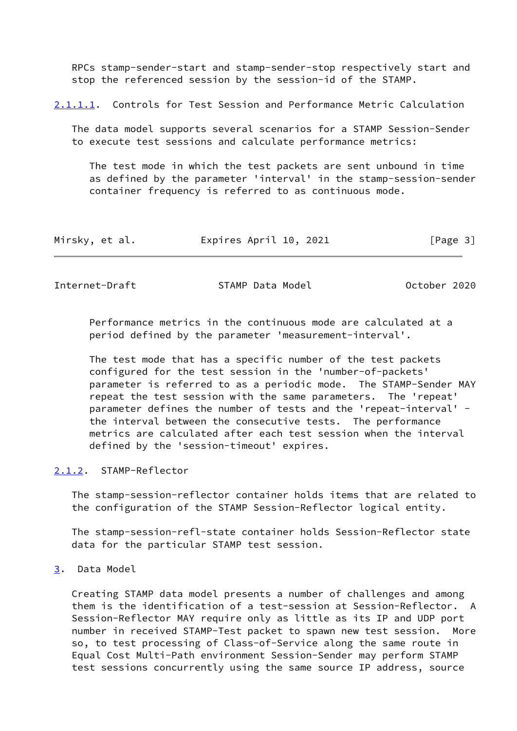RPCs stamp-sender-start and stamp-sender-stop respectively start and stop the referenced session by the session-id of the STAMP.

<span id="page-3-3"></span>[2.1.1.1](#page-3-3). Controls for Test Session and Performance Metric Calculation

 The data model supports several scenarios for a STAMP Session-Sender to execute test sessions and calculate performance metrics:

 The test mode in which the test packets are sent unbound in time as defined by the parameter 'interval' in the stamp-session-sender container frequency is referred to as continuous mode.

| Mirsky, et al. | Expires April 10, 2021 | [Page 3] |
|----------------|------------------------|----------|
|----------------|------------------------|----------|

<span id="page-3-1"></span>Internet-Draft STAMP Data Model Corporation Corporation 2020

 Performance metrics in the continuous mode are calculated at a period defined by the parameter 'measurement-interval'.

 The test mode that has a specific number of the test packets configured for the test session in the 'number-of-packets' parameter is referred to as a periodic mode. The STAMP-Sender MAY repeat the test session with the same parameters. The 'repeat' parameter defines the number of tests and the 'repeat-interval' the interval between the consecutive tests. The performance metrics are calculated after each test session when the interval defined by the 'session-timeout' expires.

#### <span id="page-3-0"></span>[2.1.2](#page-3-0). STAMP-Reflector

 The stamp-session-reflector container holds items that are related to the configuration of the STAMP Session-Reflector logical entity.

 The stamp-session-refl-state container holds Session-Reflector state data for the particular STAMP test session.

<span id="page-3-2"></span>[3](#page-3-2). Data Model

 Creating STAMP data model presents a number of challenges and among them is the identification of a test-session at Session-Reflector. A Session-Reflector MAY require only as little as its IP and UDP port number in received STAMP-Test packet to spawn new test session. More so, to test processing of Class-of-Service along the same route in Equal Cost Multi-Path environment Session-Sender may perform STAMP test sessions concurrently using the same source IP address, source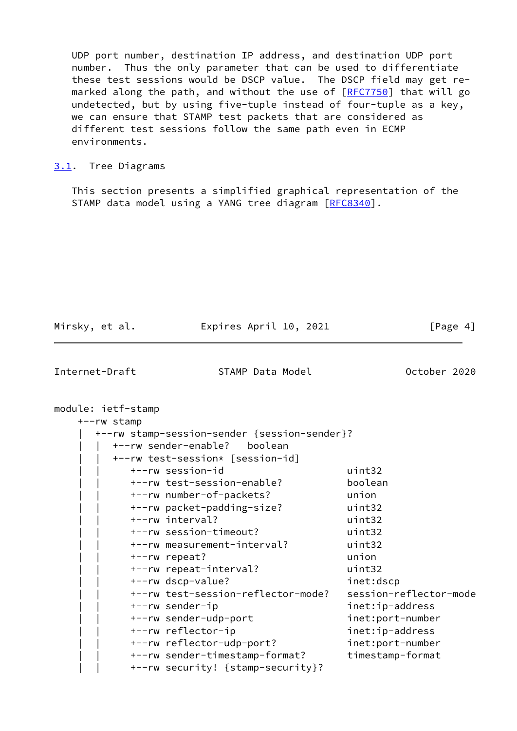UDP port number, destination IP address, and destination UDP port number. Thus the only parameter that can be used to differentiate these test sessions would be DSCP value. The DSCP field may get re- marked along the path, and without the use of [[RFC7750](https://datatracker.ietf.org/doc/pdf/rfc7750)] that will go undetected, but by using five-tuple instead of four-tuple as a key, we can ensure that STAMP test packets that are considered as different test sessions follow the same path even in ECMP environments.

## <span id="page-4-0"></span>[3.1](#page-4-0). Tree Diagrams

 This section presents a simplified graphical representation of the STAMP data model using a YANG tree diagram [[RFC8340\]](https://datatracker.ietf.org/doc/pdf/rfc8340).

| Mirsky, et al.                    | Expires April 10, 2021                                                                                                                                                                                                                                                                                                                                                                                                                                                                                                                                                                  | [Page 4]                                                                                                                                                                                                                       |
|-----------------------------------|-----------------------------------------------------------------------------------------------------------------------------------------------------------------------------------------------------------------------------------------------------------------------------------------------------------------------------------------------------------------------------------------------------------------------------------------------------------------------------------------------------------------------------------------------------------------------------------------|--------------------------------------------------------------------------------------------------------------------------------------------------------------------------------------------------------------------------------|
| Internet-Draft                    | STAMP Data Model                                                                                                                                                                                                                                                                                                                                                                                                                                                                                                                                                                        | October 2020                                                                                                                                                                                                                   |
| module: ietf-stamp<br>+--rw stamp | +--rw stamp-session-sender {session-sender}?<br>+--rw sender-enable?<br>boolean<br>+--rw test-session* [session-id]<br>+--rw session-id<br>+--rw test-session-enable?<br>+--rw number-of-packets?<br>+--rw packet-padding-size?<br>+--rw interval?<br>+--rw session-timeout?<br>+--rw measurement-interval?<br>+--rw repeat?<br>+--rw repeat-interval?<br>+--rw dscp-value?<br>+--rw test-session-reflector-mode?<br>+--rw sender-ip<br>+--rw sender-udp-port<br>+--rw reflector-ip<br>+--rw reflector-udp-port?<br>+--rw sender-timestamp-format?<br>+--rw security! {stamp-security}? | uint32<br>boolean<br>union<br>uint32<br>uint32<br>uint32<br>uint32<br>union<br>uint32<br>inet:dscp<br>session-reflector-mode<br>inet:ip-address<br>inet:port-number<br>inet:ip-address<br>inet:port-number<br>timestamp-format |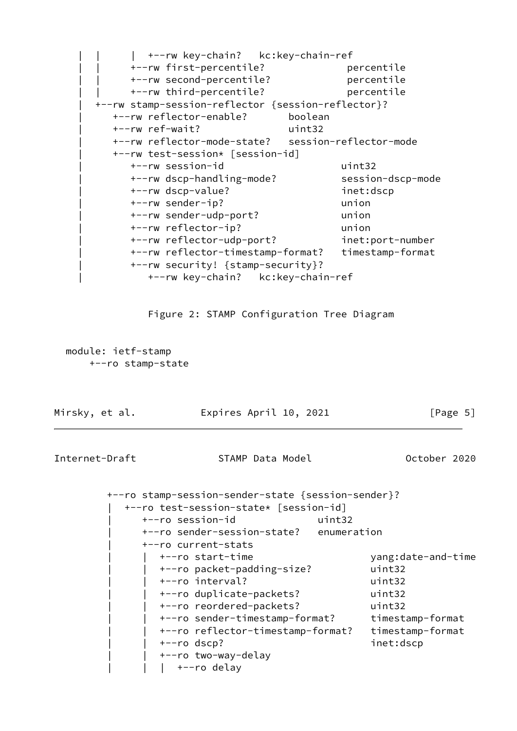

Figure 2: STAMP Configuration Tree Diagram

 module: ietf-stamp +--ro stamp-state

| Mirsky, et al. | Expires April 10, 2021                                                                                                                                                             | [Page 5]                                                                       |
|----------------|------------------------------------------------------------------------------------------------------------------------------------------------------------------------------------|--------------------------------------------------------------------------------|
| Internet-Draft | STAMP Data Model                                                                                                                                                                   | October 2020                                                                   |
|                | +--ro stamp-session-sender-state {session-sender}?<br>+--ro test-session-state* [session-id]<br>+--ro session-id<br>uint32<br>+--ro sender-session-state? enumeration              |                                                                                |
|                | +--ro current-stats<br>+--ro start-time<br>+--ro packet-padding-size?<br>+--ro interval?<br>+--ro duplicate-packets?<br>+--ro reordered-packets?<br>+--ro sender-timestamp-format? | yang:date-and-time<br>uint32<br>uint32<br>uint32<br>uint32<br>timestamp-format |

 | | +--ro reflector-timestamp-format? timestamp-format | | +--ro dscp? inet:dscp +--ro two-way-delay | +--ro delay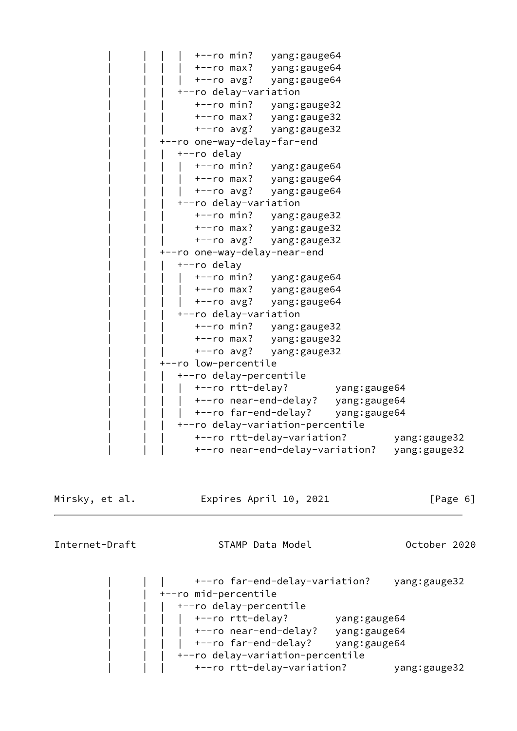+--ro min? yang: gauge64 | | | | +--ro max? yang:gauge64 +--ro avg? yang:gauge64 | | | +--ro delay-variation | | | +--ro min? yang:gauge32 | | | +--ro max? yang:gauge32 | | | +--ro avg? yang:gauge32 | | +--ro one-way-delay-far-end | | | +--ro delay | | | | +--ro min? yang:gauge64 | | | | +--ro max? yang:gauge64 | | | | +--ro avg? yang:gauge64 | | | +--ro delay-variation | | | +--ro min? yang:gauge32 | | | +--ro max? yang:gauge32 | | | +--ro avg? yang:gauge32 --ro one-way-delay-near-end | | | +--ro delay | | | | +--ro min? yang:gauge64 | | | | +--ro max? yang:gauge64 | | | | +--ro avg? yang:gauge64 | | | +--ro delay-variation | | | +--ro min? yang:gauge32 | | | +--ro max? yang:gauge32 | | | +--ro avg? yang:gauge32 | | +--ro low-percentile | | | +--ro delay-percentile | | | | +--ro rtt-delay? yang:gauge64 | | | | +--ro near-end-delay? yang:gauge64 | +--ro far-end-delay? yang:gauge64 | | | +--ro delay-variation-percentile | | | +--ro rtt-delay-variation? yang:gauge32 | | | +--ro near-end-delay-variation? yang:gauge32

Mirsky, et al. Expires April 10, 2021 [Page 6]

Internet-Draft STAMP Data Model October 2020

 | | | +--ro far-end-delay-variation? yang:gauge32 | | +--ro mid-percentile | | | +--ro delay-percentile | | | | +--ro rtt-delay? yang:gauge64 | +--ro near-end-delay? yang:gauge64 | | | | +--ro far-end-delay? yang:gauge64 | | | +--ro delay-variation-percentile | | | +--ro rtt-delay-variation? yang:gauge32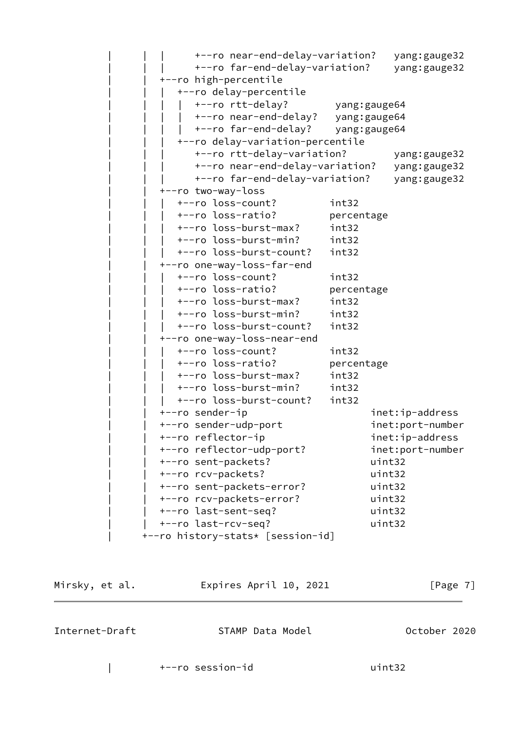| +--ro near-end-delay-variation?<br>+--ro far-end-delay-variation?<br>+--ro high-percentile<br>+--ro delay-percentile |              | yang: gauge32<br>yang: gauge32 |
|----------------------------------------------------------------------------------------------------------------------|--------------|--------------------------------|
| +--ro rtt-delay?<br>+--ro near-end-delay? yang: gauge64<br>+--ro far-end-delay?                                      | yang:gauge64 | yang: gauge64                  |
| +--ro delay-variation-percentile                                                                                     |              |                                |
| +--ro rtt-delay-variation?                                                                                           |              | yang: gauge32                  |
| +--ro near-end-delay-variation?                                                                                      |              | yang: gauge32                  |
| +--ro far-end-delay-variation?                                                                                       |              | yang: gauge32                  |
| +--ro two-way-loss                                                                                                   |              |                                |
| +--ro loss-count?                                                                                                    | int32        |                                |
| +--ro loss-ratio?                                                                                                    | percentage   |                                |
| +--ro loss-burst-max?                                                                                                | int32        |                                |
| +--ro loss-burst-min?                                                                                                | int32        |                                |
| +--ro loss-burst-count?                                                                                              | int32        |                                |
| +--ro one-way-loss-far-end                                                                                           |              |                                |
| +--ro loss-count?                                                                                                    | int32        |                                |
| +--ro loss-ratio?                                                                                                    | percentage   |                                |
| +--ro loss-burst-max?                                                                                                | int32        |                                |
| +--ro loss-burst-min?                                                                                                | int32        |                                |
| +--ro loss-burst-count?                                                                                              | int32        |                                |
| +--ro one-way-loss-near-end                                                                                          |              |                                |
| +--ro loss-count?                                                                                                    | int32        |                                |
| +--ro loss-ratio?                                                                                                    | percentage   |                                |
| +--ro loss-burst-max?                                                                                                | int32        |                                |
| +--ro loss-burst-min?                                                                                                | int32        |                                |
| +--ro loss-burst-count?                                                                                              | int32        |                                |
| +--ro sender-ip                                                                                                      |              | inet:ip-address                |
| +--ro sender-udp-port                                                                                                |              | inet:port-number               |
| +--ro reflector-ip                                                                                                   |              | inet:ip-address                |
| +--ro reflector-udp-port?                                                                                            |              | inet:port-number               |
| +--ro sent-packets?                                                                                                  |              | uint32                         |
| +--ro rcv-packets?                                                                                                   |              | uint32                         |
| +--ro sent-packets-error?                                                                                            |              | uint32                         |
| +--ro rcv-packets-error?                                                                                             |              | uint32                         |
| +--ro last-sent-seq?                                                                                                 |              | uint32                         |
| +--ro last-rcv-seq?                                                                                                  |              | uint32                         |
| +--ro history-stats* [session-id]                                                                                    |              |                                |

| Mirsky, et al. | Expires April 10, 2021 | [Page 7]     |
|----------------|------------------------|--------------|
| Internet-Draft | STAMP Data Model       | October 2020 |

| +--ro session-id uint32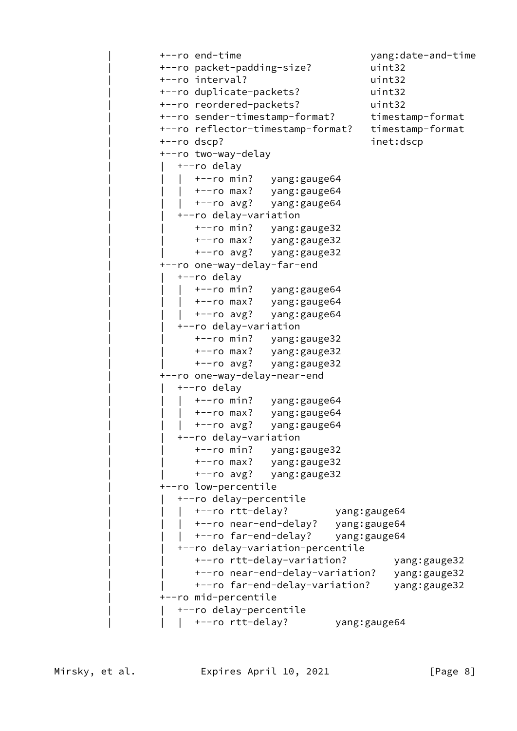```
 | +--ro end-time yang:date-and-time
                  | +--ro packet-padding-size? uint32
                 | +--ro interval? uint32
                 | +--ro duplicate-packets? uint32
                 | +--ro reordered-packets? uint32
                +--ro sender-timestamp-format? timestamp-format
                  | +--ro reflector-timestamp-format? timestamp-format
                 | +--ro dscp? inet:dscp
                  | +--ro two-way-delay
                   +--ro delay
                       | | | +--ro min? yang:gauge64
                      | | | +--ro max? yang:gauge64
                      | | | +--ro avg? yang:gauge64
                    | | +--ro delay-variation
 | | +--ro min? yang:gauge32
 | | +--ro max? yang:gauge32
                       | | +--ro avg? yang:gauge32
                  | +--ro one-way-delay-far-end
                    | | +--ro delay
                    | +--ro min? yang:gauge64
                       | | | +--ro max? yang:gauge64
                   \frac{1}{2} +--ro avg? yang:gauge64
                    | | +--ro delay-variation
                       | | +--ro min? yang:gauge32
                       | | +--ro max? yang:gauge32
                       | | +--ro avg? yang:gauge32
                  | +--ro one-way-delay-near-end
                   +--ro delay
                      | | | +--ro min? yang:gauge64
 | | | +--ro max? yang:gauge64
 | | | +--ro avg? yang:gauge64
                    | | +--ro delay-variation
                       | | +--ro min? yang:gauge32
                       | | +--ro max? yang:gauge32
                       | | +--ro avg? yang:gauge32
                  | +--ro low-percentile
                    | | +--ro delay-percentile
                    | +--ro rtt-delay?
                   | +--ro near-end-delay? yang:gauge64
                       | | | +--ro far-end-delay? yang:gauge64
                    | | +--ro delay-variation-percentile
                       | | +--ro rtt-delay-variation? yang:gauge32
                       | | +--ro near-end-delay-variation? yang:gauge32
                       | | +--ro far-end-delay-variation? yang:gauge32
                  | +--ro mid-percentile
                    | | +--ro delay-percentile
                    | +--ro rtt-delay? yang:gauge64
```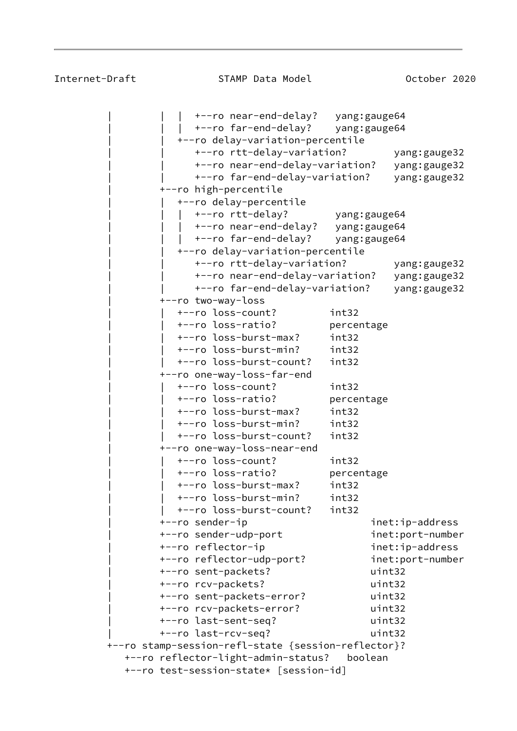| | | +--ro near-end-delay? yang:gauge64 | | | +--ro far-end-delay? yang:gauge64 | | +--ro delay-variation-percentile | | +--ro rtt-delay-variation? yang:gauge32 | | +--ro near-end-delay-variation? yang:gauge32 | | +--ro far-end-delay-variation? yang:gauge32 | +--ro high-percentile | | +--ro delay-percentile | | | +--ro rtt-delay? yang:gauge64 | | | +--ro near-end-delay? yang:gauge64 | | | +--ro far-end-delay? yang:gauge64 | | +--ro delay-variation-percentile | | +--ro rtt-delay-variation? yang:gauge32 | | +--ro near-end-delay-variation? yang:gauge32 | | +--ro far-end-delay-variation? yang:gauge32 | +--ro two-way-loss | | +--ro loss-count? int32 | | +--ro loss-ratio? percentage | | +--ro loss-burst-max? int32 | | +--ro loss-burst-min? int32 | | +--ro loss-burst-count? int32 | +--ro one-way-loss-far-end | | +--ro loss-count? int32 | | +--ro loss-ratio? percentage | | +--ro loss-burst-max? int32 | | +--ro loss-burst-min? int32 | | +--ro loss-burst-count? int32 | +--ro one-way-loss-near-end | | +--ro loss-count? int32 | | +--ro loss-ratio? percentage | | +--ro loss-burst-max? int32 | | +--ro loss-burst-min? int32 | | +--ro loss-burst-count? int32 +--ro sender-ip inet:ip-address | +--ro sender-udp-port inet:port-number +--ro reflector-ip inet:ip-address | +--ro reflector-udp-port? inet:port-number | +--ro sent-packets? uint32 | +--ro rcv-packets? uint32 | +--ro sent-packets-error? uint32 | +--ro rcv-packets-error? uint32 | +--ro last-sent-seq? uint32 | +--ro last-rcv-seq? uint32 +--ro stamp-session-refl-state {session-reflector}? +--ro reflector-light-admin-status? boolean +--ro test-session-state\* [session-id]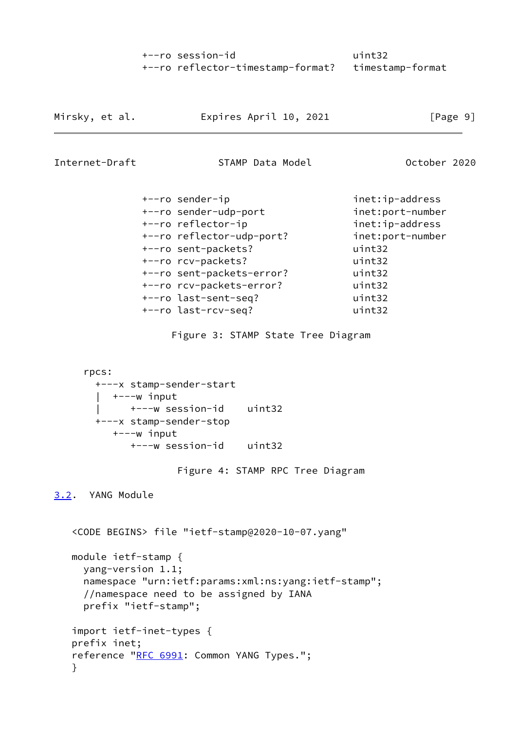| +--ro session-id |                                                    | uint32 |
|------------------|----------------------------------------------------|--------|
|                  | +--ro reflector-timestamp-format? timestamp-format |        |

| Mirsky, et al. | Expires April 10, 2021 | [Page 9] |
|----------------|------------------------|----------|
|                |                        |          |

<span id="page-10-1"></span>Internet-Draft STAMP Data Model 6 October 2020

| +--ro sender-ip           | inet:ip-address  |
|---------------------------|------------------|
| +--ro sender-udp-port     | inet:port-number |
| +--ro reflector-ip        | inet:ip-address  |
| +--ro reflector-udp-port? | inet:port-number |
| +--ro sent-packets?       | uint32           |
| +--ro rcv-packets?        | uint32           |
| +--ro sent-packets-error? | uint32           |
| +--ro rcv-packets-error?  | uint32           |
| +--ro last-sent-seq?      | uint32           |
| +--ro last-rcv-seq?       | uint32           |
|                           |                  |

Figure 3: STAMP State Tree Diagram

```
 rpcs:
  +---x stamp-sender-start
  | +---w input
   | +---w session-id uint32
  +---x stamp-sender-stop
     +---w input
        +---w session-id uint32
```
Figure 4: STAMP RPC Tree Diagram

<span id="page-10-0"></span>[3.2](#page-10-0). YANG Module

 <CODE BEGINS> file "ietf-stamp@2020-10-07.yang" module ietf-stamp { yang-version 1.1; namespace "urn:ietf:params:xml:ns:yang:ietf-stamp"; //namespace need to be assigned by IANA prefix "ietf-stamp"; import ietf-inet-types { prefix inet; reference "[RFC 6991:](https://datatracker.ietf.org/doc/pdf/rfc6991) Common YANG Types."; }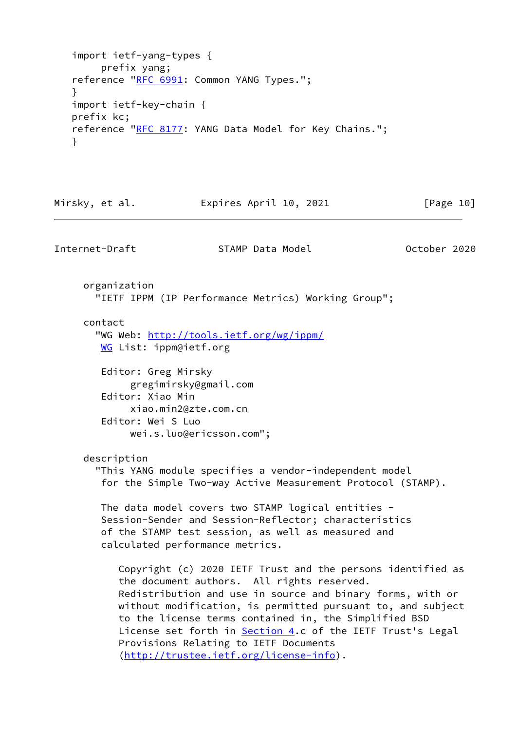```
 import ietf-yang-types {
        prefix yang;
  RFC 6991: Common YANG Types.";
 }
   import ietf-key-chain {
   prefix kc;
  RFC 8177: YANG Data Model for Key Chains.":
   }
```
Mirsky, et al. Expires April 10, 2021 [Page 10]

```
 organization
   "IETF IPPM (IP Performance Metrics) Working Group";
 contact
   "WG Web: http://tools.ietf.org/wg/ippm/
  WG List: ippm@ietf.org
   Editor: Greg Mirsky
         gregimirsky@gmail.com
    Editor: Xiao Min
         xiao.min2@zte.com.cn
    Editor: Wei S Luo
         wei.s.luo@ericsson.com";
 description
   "This YANG module specifies a vendor-independent model
    for the Simple Two-way Active Measurement Protocol (STAMP).
    The data model covers two STAMP logical entities -
    Session-Sender and Session-Reflector; characteristics
    of the STAMP test session, as well as measured and
    calculated performance metrics.
       Copyright (c) 2020 IETF Trust and the persons identified as
       the document authors. All rights reserved.
       Redistribution and use in source and binary forms, with or
      without modification, is permitted pursuant to, and subject
       to the license terms contained in, the Simplified BSD
       Section 4.c of the IETF Trust's Legal
       Provisions Relating to IETF Documents
       (http://trustee.ietf.org/license-info).
```
Internet-Draft STAMP Data Model October 2020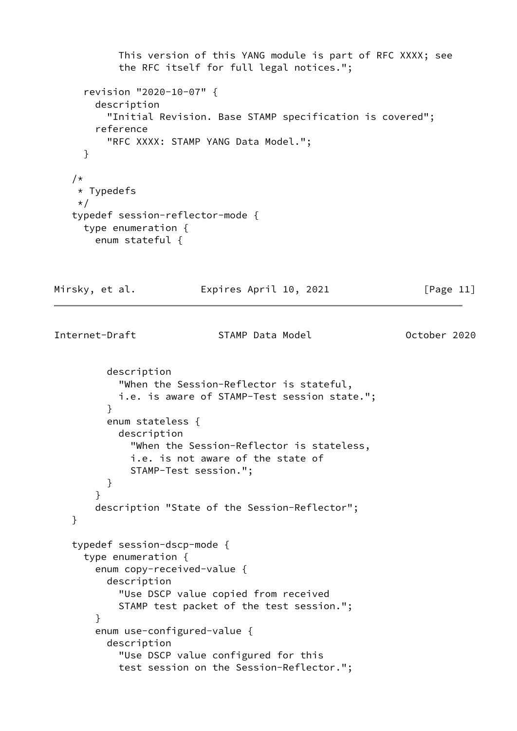```
 This version of this YANG module is part of RFC XXXX; see
            the RFC itself for full legal notices.";
      revision "2020-10-07" {
        description
          "Initial Revision. Base STAMP specification is covered";
        reference
          "RFC XXXX: STAMP YANG Data Model.";
      }
    /*
     * Typedefs
     */
    typedef session-reflector-mode {
      type enumeration {
        enum stateful {
Mirsky, et al.             Expires April 10, 2021               [Page 11]
Internet-Draft STAMP Data Model October 2020
          description
            "When the Session-Reflector is stateful,
            i.e. is aware of STAMP-Test session state.";
 }
          enum stateless {
            description
              "When the Session-Reflector is stateless,
              i.e. is not aware of the state of
              STAMP-Test session.";
          }
        }
        description "State of the Session-Reflector";
    }
    typedef session-dscp-mode {
      type enumeration {
        enum copy-received-value {
          description
            "Use DSCP value copied from received
            STAMP test packet of the test session.";
        }
        enum use-configured-value {
          description
            "Use DSCP value configured for this
            test session on the Session-Reflector.";
```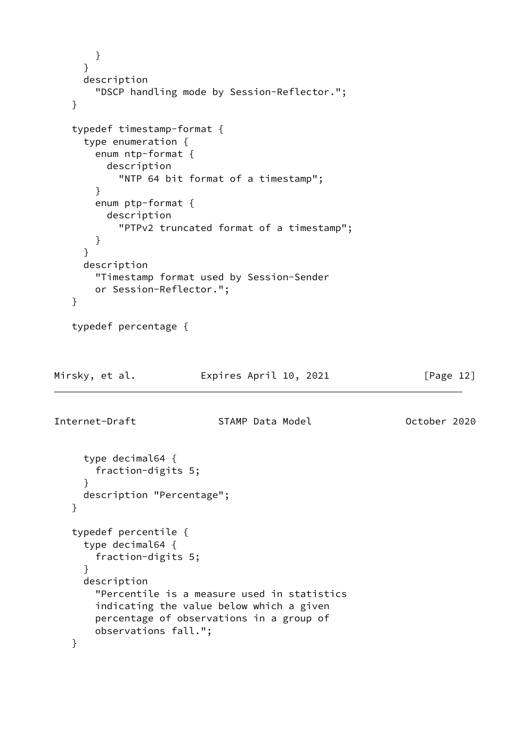```
 }
      }
      description
        "DSCP handling mode by Session-Reflector.";
    }
    typedef timestamp-format {
      type enumeration {
        enum ntp-format {
          description
            "NTP 64 bit format of a timestamp";
        }
        enum ptp-format {
          description
            "PTPv2 truncated format of a timestamp";
        }
      }
      description
        "Timestamp format used by Session-Sender
        or Session-Reflector.";
    }
    typedef percentage {
Mirsky, et al.               Expires April 10, 2021               [Page 12]
Internet-Draft STAMP Data Model October 2020
      type decimal64 {
        fraction-digits 5;
      }
      description "Percentage";
    }
    typedef percentile {
      type decimal64 {
        fraction-digits 5;
      }
      description
        "Percentile is a measure used in statistics
        indicating the value below which a given
        percentage of observations in a group of
        observations fall.";
    }
```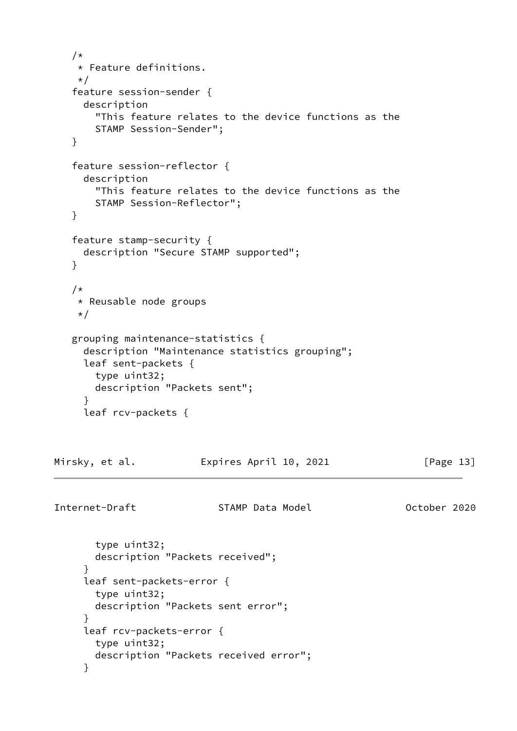```
 /*
     * Feature definitions.
     */
    feature session-sender {
      description
        "This feature relates to the device functions as the
        STAMP Session-Sender";
    }
    feature session-reflector {
      description
        "This feature relates to the device functions as the
        STAMP Session-Reflector";
    }
    feature stamp-security {
      description "Secure STAMP supported";
    }
    /*
     * Reusable node groups
    \star/ grouping maintenance-statistics {
      description "Maintenance statistics grouping";
      leaf sent-packets {
        type uint32;
        description "Packets sent";
      }
      leaf rcv-packets {
Mirsky, et al.               Expires April 10, 2021               [Page 13]
Internet-Draft STAMP Data Model 6 October 2020
        type uint32;
        description "Packets received";
      }
      leaf sent-packets-error {
        type uint32;
        description "Packets sent error";
      }
      leaf rcv-packets-error {
        type uint32;
        description "Packets received error";
      }
```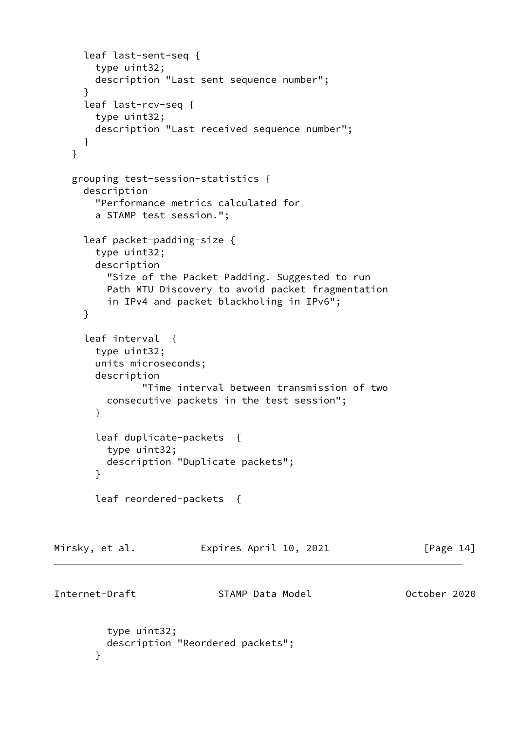```
 leaf last-sent-seq {
        type uint32;
        description "Last sent sequence number";
      }
      leaf last-rcv-seq {
        type uint32;
        description "Last received sequence number";
      }
    }
    grouping test-session-statistics {
      description
        "Performance metrics calculated for
        a STAMP test session.";
      leaf packet-padding-size {
        type uint32;
        description
          "Size of the Packet Padding. Suggested to run
          Path MTU Discovery to avoid packet fragmentation
          in IPv4 and packet blackholing in IPv6";
      }
      leaf interval {
        type uint32;
        units microseconds;
        description
                "Time interval between transmission of two
          consecutive packets in the test session";
        }
        leaf duplicate-packets {
          type uint32;
          description "Duplicate packets";
        }
        leaf reordered-packets {
Mirsky, et al.               Expires April 10, 2021               [Page 14]
Internet-Draft STAMP Data Model 67 October 2020
          type uint32;
          description "Reordered packets";
        }
```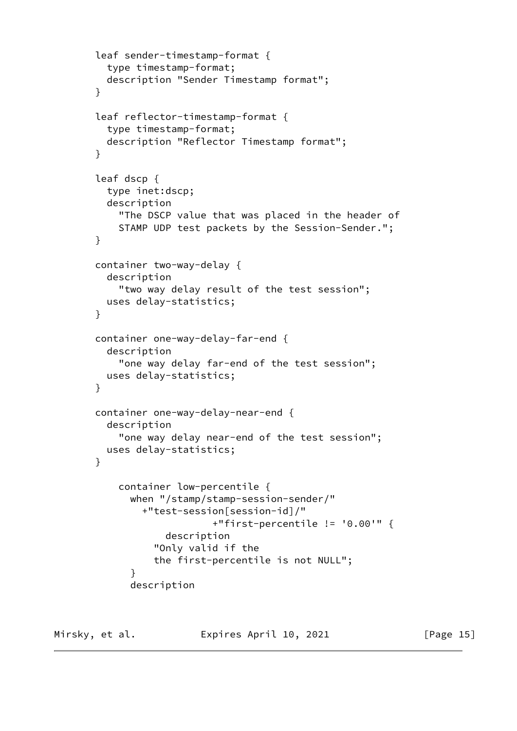```
 leaf sender-timestamp-format {
          type timestamp-format;
          description "Sender Timestamp format";
        }
        leaf reflector-timestamp-format {
          type timestamp-format;
          description "Reflector Timestamp format";
        }
        leaf dscp {
          type inet:dscp;
          description
            "The DSCP value that was placed in the header of
            STAMP UDP test packets by the Session-Sender.";
        }
        container two-way-delay {
          description
            "two way delay result of the test session";
          uses delay-statistics;
        }
        container one-way-delay-far-end {
          description
            "one way delay far-end of the test session";
          uses delay-statistics;
        }
        container one-way-delay-near-end {
          description
            "one way delay near-end of the test session";
          uses delay-statistics;
        }
            container low-percentile {
              when "/stamp/stamp-session-sender/"
                +"test-session[session-id]/"
                             +"first-percentile != '0.00'" {
                    description
                  "Only valid if the
                  the first-percentile is not NULL";
 }
              description
```
Mirsky, et al. **Expires April 10, 2021** [Page 15]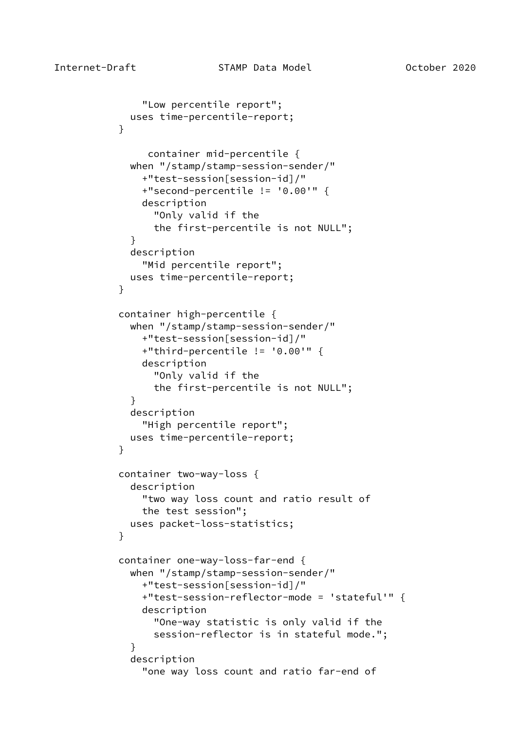```
 "Low percentile report";
             uses time-percentile-report;
 }
                container mid-percentile {
             when "/stamp/stamp-session-sender/"
               +"test-session[session-id]/"
               +"second-percentile != '0.00'" {
               description
                 "Only valid if the
                 the first-percentile is not NULL";
 }
             description
               "Mid percentile report";
             uses time-percentile-report;
 }
           container high-percentile {
             when "/stamp/stamp-session-sender/"
               +"test-session[session-id]/"
               +"third-percentile != '0.00'" {
               description
                 "Only valid if the
                 the first-percentile is not NULL";
 }
             description
               "High percentile report";
             uses time-percentile-report;
 }
           container two-way-loss {
             description
               "two way loss count and ratio result of
               the test session";
             uses packet-loss-statistics;
 }
           container one-way-loss-far-end {
             when "/stamp/stamp-session-sender/"
               +"test-session[session-id]/"
               +"test-session-reflector-mode = 'stateful'" {
               description
                 "One-way statistic is only valid if the
                 session-reflector is in stateful mode.";
 }
             description
               "one way loss count and ratio far-end of
```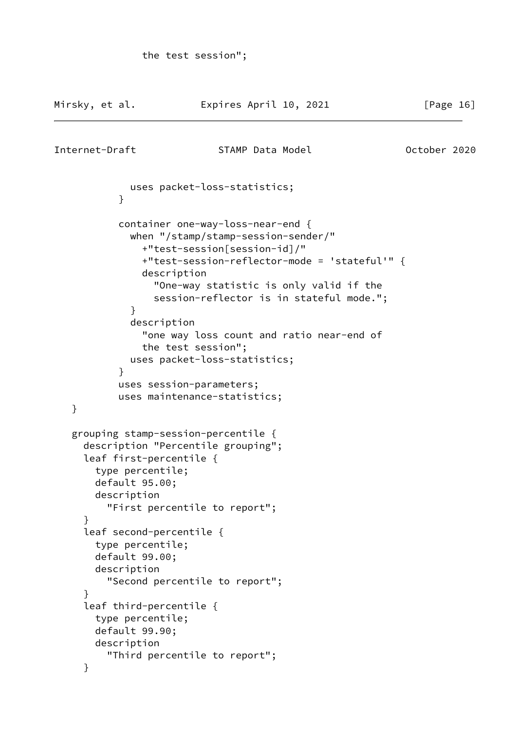```
Mirsky, et al.               Expires April 10, 2021               [Page 16]
Internet-Draft STAMP Data Model October 2020
             uses packet-loss-statistics;
 }
            container one-way-loss-near-end {
             when "/stamp/stamp-session-sender/"
                +"test-session[session-id]/"
                +"test-session-reflector-mode = 'stateful'" {
                description
                  "One-way statistic is only valid if the
                  session-reflector is in stateful mode.";
 }
             description
                "one way loss count and ratio near-end of
                the test session";
             uses packet-loss-statistics;
 }
           uses session-parameters;
            uses maintenance-statistics;
    }
    grouping stamp-session-percentile {
      description "Percentile grouping";
      leaf first-percentile {
        type percentile;
        default 95.00;
        description
          "First percentile to report";
      }
      leaf second-percentile {
        type percentile;
        default 99.00;
        description
          "Second percentile to report";
      }
      leaf third-percentile {
        type percentile;
        default 99.90;
        description
          "Third percentile to report";
      }
```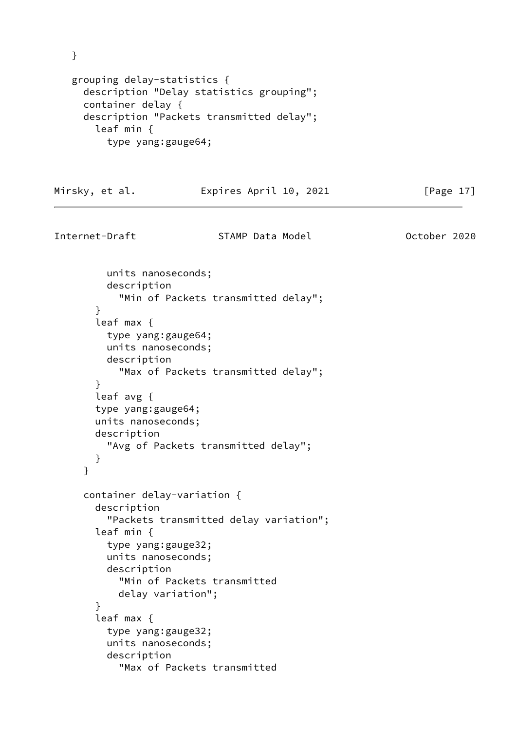} grouping delay-statistics { description "Delay statistics grouping"; container delay { description "Packets transmitted delay"; leaf min { type yang:gauge64; Mirsky, et al. Expires April 10, 2021 [Page 17] Internet-Draft STAMP Data Model October 2020

```
 units nanoseconds;
     description
       "Min of Packets transmitted delay";
   }
   leaf max {
     type yang:gauge64;
     units nanoseconds;
     description
       "Max of Packets transmitted delay";
   }
   leaf avg {
   type yang:gauge64;
   units nanoseconds;
   description
     "Avg of Packets transmitted delay";
   }
 }
 container delay-variation {
   description
     "Packets transmitted delay variation";
   leaf min {
     type yang:gauge32;
     units nanoseconds;
     description
       "Min of Packets transmitted
       delay variation";
   }
   leaf max {
     type yang:gauge32;
     units nanoseconds;
     description
       "Max of Packets transmitted
```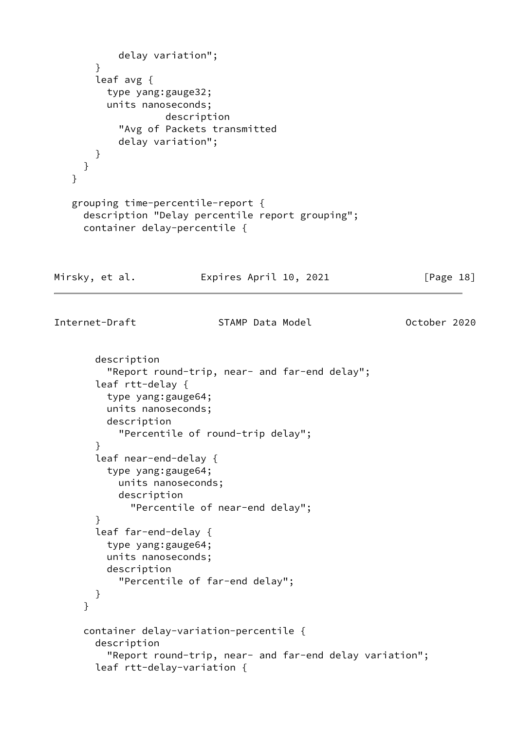```
 delay variation";
        }
        leaf avg {
          type yang:gauge32;
          units nanoseconds;
                    description
            "Avg of Packets transmitted
            delay variation";
        }
     }
    }
    grouping time-percentile-report {
      description "Delay percentile report grouping";
      container delay-percentile {
Mirsky, et al. Expires April 10, 2021 [Page 18]
Internet-Draft STAMP Data Model 6 October 2020
        description
          "Report round-trip, near- and far-end delay";
        leaf rtt-delay {
          type yang:gauge64;
          units nanoseconds;
          description
            "Percentile of round-trip delay";
        }
        leaf near-end-delay {
          type yang:gauge64;
            units nanoseconds;
            description
              "Percentile of near-end delay";
        }
        leaf far-end-delay {
          type yang:gauge64;
          units nanoseconds;
          description
            "Percentile of far-end delay";
        }
      }
      container delay-variation-percentile {
        description
          "Report round-trip, near- and far-end delay variation";
        leaf rtt-delay-variation {
```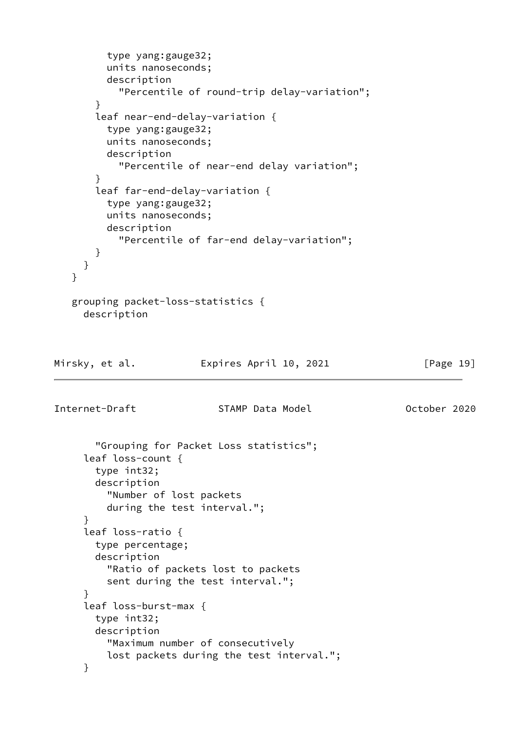```
 type yang:gauge32;
          units nanoseconds;
          description
            "Percentile of round-trip delay-variation";
        }
        leaf near-end-delay-variation {
          type yang:gauge32;
          units nanoseconds;
          description
            "Percentile of near-end delay variation";
        }
        leaf far-end-delay-variation {
          type yang:gauge32;
          units nanoseconds;
          description
            "Percentile of far-end delay-variation";
        }
      }
    }
    grouping packet-loss-statistics {
      description
Mirsky, et al.               Expires April 10, 2021               [Page 19]
Internet-Draft STAMP Data Model October 2020
        "Grouping for Packet Loss statistics";
      leaf loss-count {
        type int32;
        description
          "Number of lost packets
          during the test interval.";
      }
      leaf loss-ratio {
        type percentage;
        description
          "Ratio of packets lost to packets
          sent during the test interval.";
      }
      leaf loss-burst-max {
        type int32;
        description
          "Maximum number of consecutively
          lost packets during the test interval.";
      }
```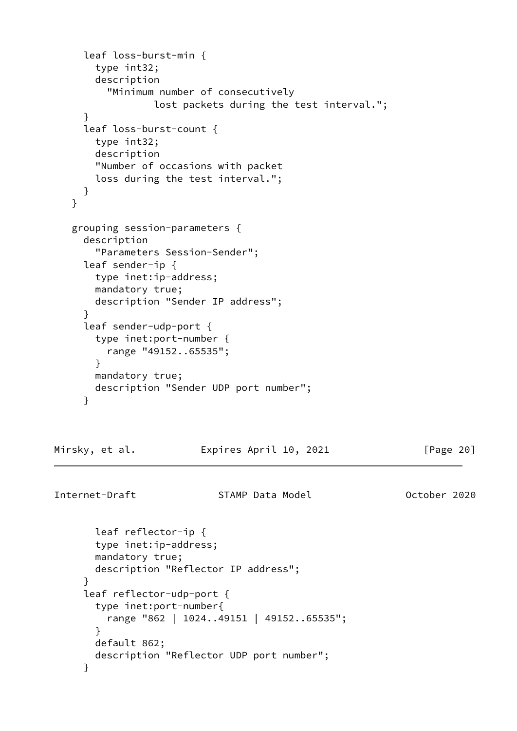```
 leaf loss-burst-min {
        type int32;
        description
          "Minimum number of consecutively
                  lost packets during the test interval.";
      }
      leaf loss-burst-count {
        type int32;
        description
        "Number of occasions with packet
        loss during the test interval.";
      }
    }
    grouping session-parameters {
      description
        "Parameters Session-Sender";
      leaf sender-ip {
        type inet:ip-address;
        mandatory true;
        description "Sender IP address";
      }
      leaf sender-udp-port {
        type inet:port-number {
          range "49152..65535";
        }
        mandatory true;
        description "Sender UDP port number";
      }
Mirsky, et al.             Expires April 10, 2021               [Page 20]
Internet-Draft STAMP Data Model October 2020
        leaf reflector-ip {
        type inet:ip-address;
        mandatory true;
        description "Reflector IP address";
      }
      leaf reflector-udp-port {
        type inet:port-number{
          range "862 | 1024..49151 | 49152..65535";
        }
        default 862;
        description "Reflector UDP port number";
      }
```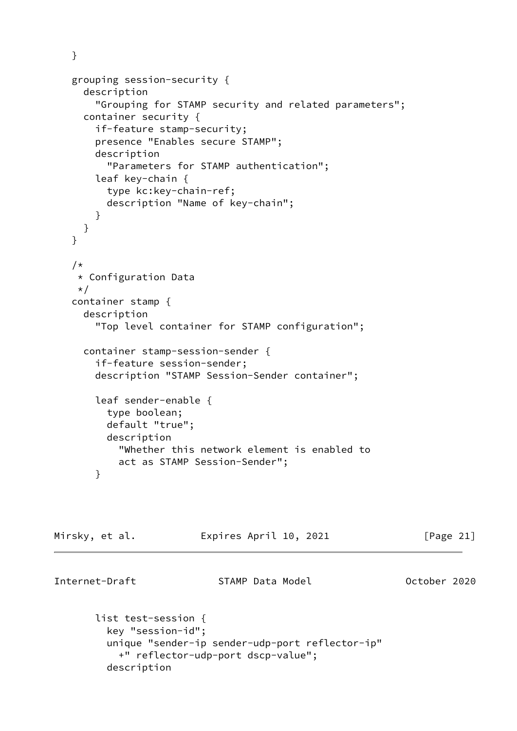```
 grouping session-security {
   description
     "Grouping for STAMP security and related parameters";
   container security {
     if-feature stamp-security;
     presence "Enables secure STAMP";
     description
       "Parameters for STAMP authentication";
     leaf key-chain {
       type kc:key-chain-ref;
       description "Name of key-chain";
     }
   }
 }
 /*
  * Configuration Data
  */
 container stamp {
   description
     "Top level container for STAMP configuration";
   container stamp-session-sender {
     if-feature session-sender;
     description "STAMP Session-Sender container";
     leaf sender-enable {
       type boolean;
       default "true";
       description
         "Whether this network element is enabled to
         act as STAMP Session-Sender";
```
}

}

Mirsky, et al. Expires April 10, 2021 [Page 21]

Internet-Draft STAMP Data Model October 2020

```
 list test-session {
   key "session-id";
   unique "sender-ip sender-udp-port reflector-ip"
     +" reflector-udp-port dscp-value";
   description
```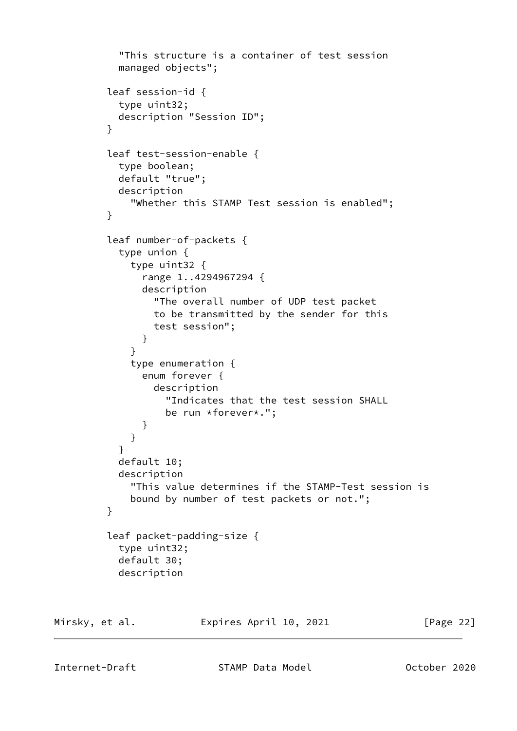```
 "This structure is a container of test session
           managed objects";
         leaf session-id {
           type uint32;
           description "Session ID";
 }
         leaf test-session-enable {
           type boolean;
           default "true";
           description
             "Whether this STAMP Test session is enabled";
         }
         leaf number-of-packets {
           type union {
             type uint32 {
               range 1..4294967294 {
               description
                 "The overall number of UDP test packet
                 to be transmitted by the sender for this
                 test session";
 }
 }
             type enumeration {
               enum forever {
                 description
                   "Indicates that the test session SHALL
                   be run *forever*.";
 }
 }
 }
           default 10;
           description
             "This value determines if the STAMP-Test session is
             bound by number of test packets or not.";
         }
         leaf packet-padding-size {
           type uint32;
           default 30;
           description
```
Mirsky, et al. Expires April 10, 2021 [Page 22]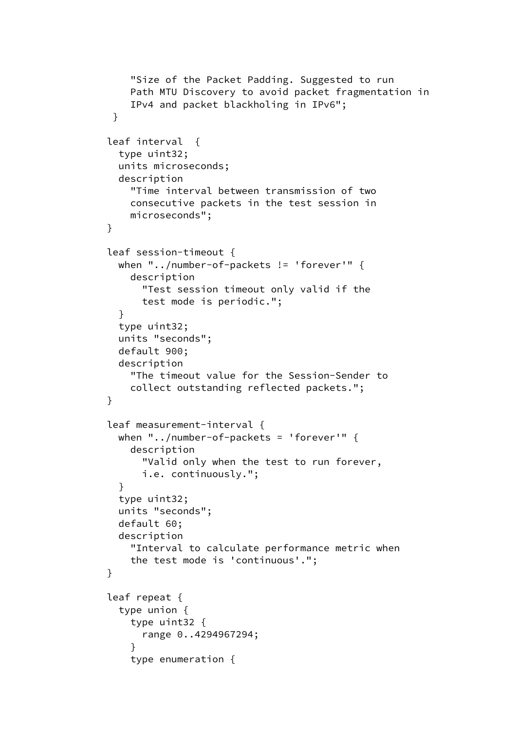```
 "Size of the Packet Padding. Suggested to run
             Path MTU Discovery to avoid packet fragmentation in
             IPv4 and packet blackholing in IPv6";
 }
          leaf interval {
            type uint32;
           units microseconds;
            description
              "Time interval between transmission of two
             consecutive packets in the test session in
             microseconds";
         }
          leaf session-timeout {
           when "../number-of-packets != 'forever'" {
             description
                "Test session timeout only valid if the
                test mode is periodic.";
 }
            type uint32;
            units "seconds";
           default 900;
            description
              "The timeout value for the Session-Sender to
             collect outstanding reflected packets.";
         }
          leaf measurement-interval {
           when "../number-of-packets = 'forever'" {
             description
                "Valid only when the test to run forever,
                i.e. continuously.";
 }
            type uint32;
            units "seconds";
            default 60;
            description
              "Interval to calculate performance metric when
              the test mode is 'continuous'.";
         }
          leaf repeat {
           type union {
             type uint32 {
                range 0..4294967294;
 }
             type enumeration {
```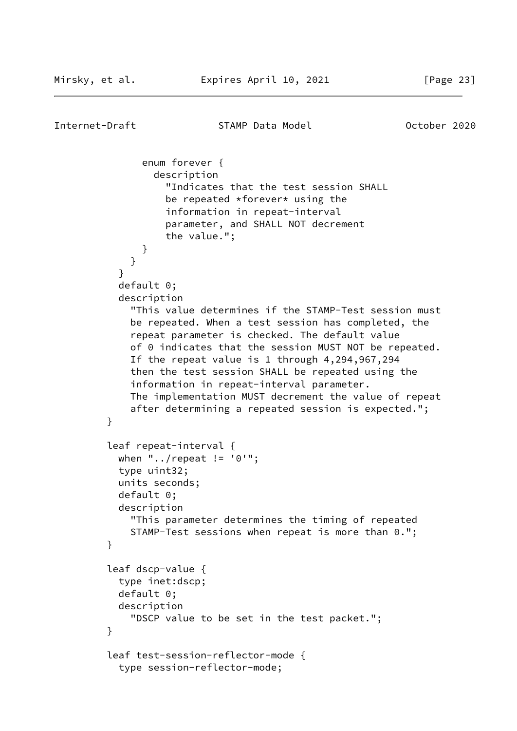```
Internet-Draft STAMP Data Model October 2020
               enum forever {
                 description
                   "Indicates that the test session SHALL
                  be repeated *forever* using the
                   information in repeat-interval
                   parameter, and SHALL NOT decrement
                   the value.";
 }
 }
 }
           default 0;
           description
             "This value determines if the STAMP-Test session must
             be repeated. When a test session has completed, the
             repeat parameter is checked. The default value
             of 0 indicates that the session MUST NOT be repeated.
             If the repeat value is 1 through 4,294,967,294
             then the test session SHALL be repeated using the
             information in repeat-interval parameter.
             The implementation MUST decrement the value of repeat
             after determining a repeated session is expected.";
 }
         leaf repeat-interval {
           when "../repeat != '0'";
           type uint32;
           units seconds;
           default 0;
           description
             "This parameter determines the timing of repeated
             STAMP-Test sessions when repeat is more than 0.";
         }
         leaf dscp-value {
           type inet:dscp;
           default 0;
           description
             "DSCP value to be set in the test packet.";
         }
         leaf test-session-reflector-mode {
           type session-reflector-mode;
```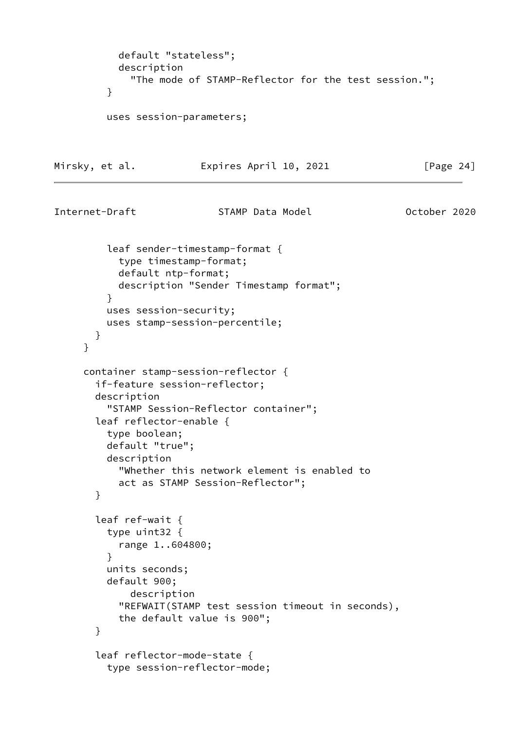```
 default "stateless";
            description
              "The mode of STAMP-Reflector for the test session.";
          }
          uses session-parameters;
Mirsky, et al. Expires April 10, 2021 [Page 24]
Internet-Draft STAMP Data Model October 2020
          leaf sender-timestamp-format {
            type timestamp-format;
            default ntp-format;
            description "Sender Timestamp format";
          }
         uses session-security;
         uses stamp-session-percentile;
        }
      }
      container stamp-session-reflector {
        if-feature session-reflector;
        description
          "STAMP Session-Reflector container";
        leaf reflector-enable {
          type boolean;
          default "true";
          description
            "Whether this network element is enabled to
            act as STAMP Session-Reflector";
        }
        leaf ref-wait {
         type uint32 {
           range 1..604800;
          }
          units seconds;
          default 900;
             description
            "REFWAIT(STAMP test session timeout in seconds),
           the default value is 900";
        }
        leaf reflector-mode-state {
          type session-reflector-mode;
```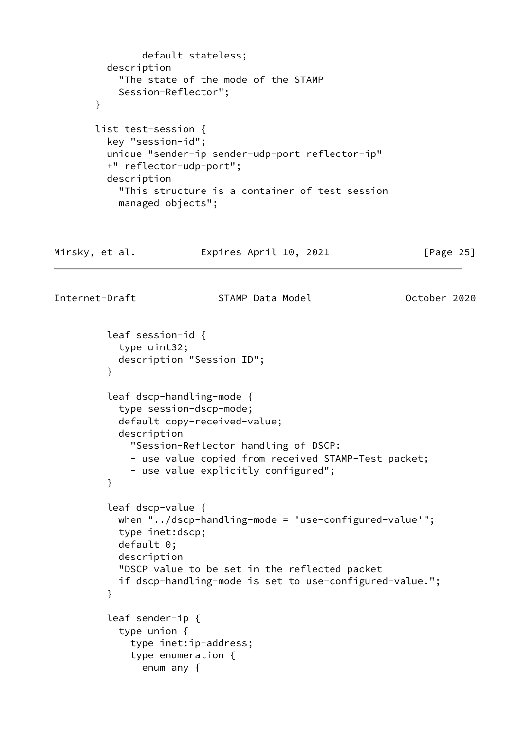```
 default stateless;
          description
            "The state of the mode of the STAMP
            Session-Reflector";
        }
        list test-session {
          key "session-id";
          unique "sender-ip sender-udp-port reflector-ip"
          +" reflector-udp-port";
          description
            "This structure is a container of test session
            managed objects";
Mirsky, et al.               Expires April 10, 2021               [Page 25]
Internet-Draft STAMP Data Model October 2020
          leaf session-id {
            type uint32;
            description "Session ID";
 }
          leaf dscp-handling-mode {
            type session-dscp-mode;
            default copy-received-value;
            description
              "Session-Reflector handling of DSCP:
              - use value copied from received STAMP-Test packet;
              - use value explicitly configured";
          }
          leaf dscp-value {
            when "../dscp-handling-mode = 'use-configured-value'";
            type inet:dscp;
            default 0;
            description
            "DSCP value to be set in the reflected packet
            if dscp-handling-mode is set to use-configured-value.";
 }
          leaf sender-ip {
            type union {
              type inet:ip-address;
              type enumeration {
                enum any {
```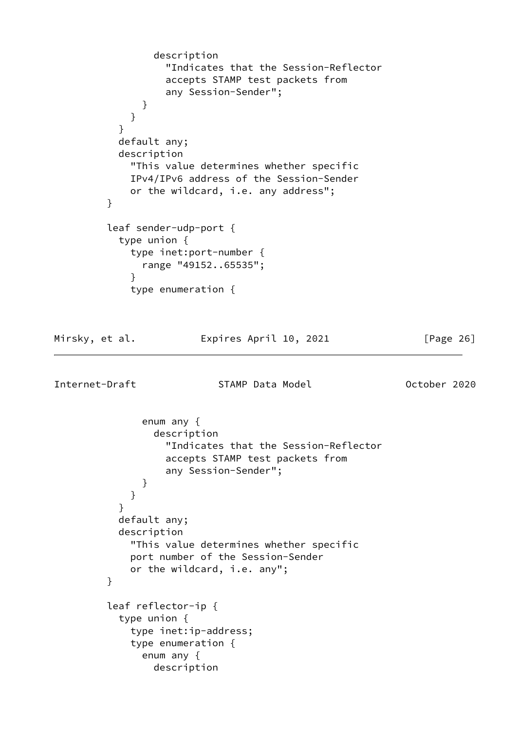```
 description
                  "Indicates that the Session-Reflector
                  accepts STAMP test packets from
                  any Session-Sender";
 }
 }
 }
           default any;
           description
             "This value determines whether specific
            IPv4/IPv6 address of the Session-Sender
            or the wildcard, i.e. any address";
         }
         leaf sender-udp-port {
           type union {
             type inet:port-number {
              range "49152..65535";
 }
            type enumeration {
Mirsky, et al.               Expires April 10, 2021               [Page 26]
Internet-Draft STAMP Data Model 6 October 2020
              enum any {
                description
```

```
 "Indicates that the Session-Reflector
                   accepts STAMP test packets from
                   any Session-Sender";
 }
 }
 }
           default any;
           description
             "This value determines whether specific
             port number of the Session-Sender
             or the wildcard, i.e. any";
         }
         leaf reflector-ip {
           type union {
             type inet:ip-address;
             type enumeration {
               enum any {
                 description
```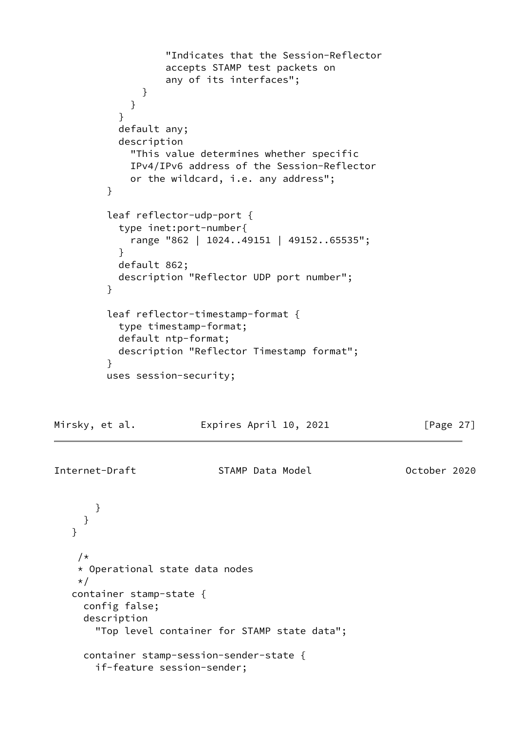```
 "Indicates that the Session-Reflector
                   accepts STAMP test packets on
                   any of its interfaces";
 }
 }
 }
           default any;
           description
             "This value determines whether specific
             IPv4/IPv6 address of the Session-Reflector
             or the wildcard, i.e. any address";
         }
         leaf reflector-udp-port {
           type inet:port-number{
             range "862 | 1024..49151 | 49152..65535";
 }
           default 862;
           description "Reflector UDP port number";
         }
         leaf reflector-timestamp-format {
           type timestamp-format;
           default ntp-format;
           description "Reflector Timestamp format";
 }
         uses session-security;
Mirsky, et al.               Expires April 10, 2021               [Page 27]
Internet-Draft STAMP Data Model Corporation Corporation 2020
       }
     }
   }
    /*
     * Operational state data nodes
     */
   container stamp-state {
```
 config false; description

"Top level container for STAMP state data";

container stamp-session-sender-state {

if-feature session-sender;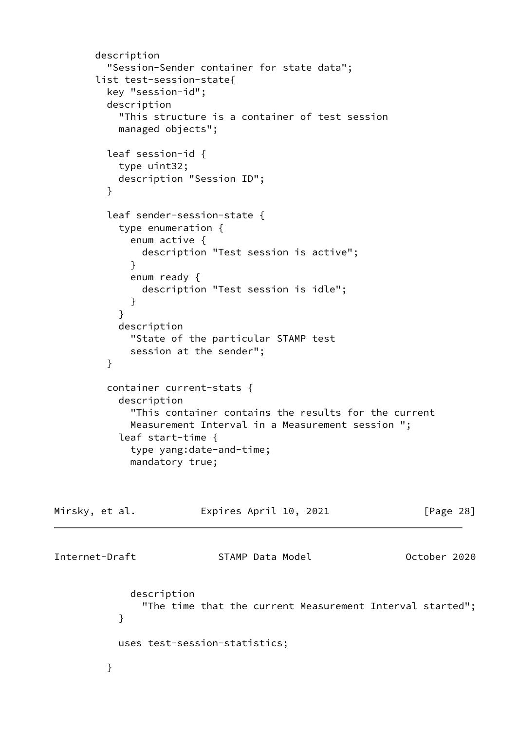```
 description
         "Session-Sender container for state data";
       list test-session-state{
         key "session-id";
         description
           "This structure is a container of test session
           managed objects";
         leaf session-id {
           type uint32;
           description "Session ID";
         }
         leaf sender-session-state {
           type enumeration {
             enum active {
               description "Test session is active";
 }
             enum ready {
               description "Test session is idle";
 }
 }
           description
             "State of the particular STAMP test
             session at the sender";
         }
         container current-stats {
           description
             "This container contains the results for the current
             Measurement Interval in a Measurement session ";
           leaf start-time {
             type yang:date-and-time;
             mandatory true;
Mirsky, et al.               Expires April 10, 2021               [Page 28]
Internet-Draft STAMP Data Model October 2020
             description
               "The time that the current Measurement Interval started";
 }
           uses test-session-statistics;
         }
```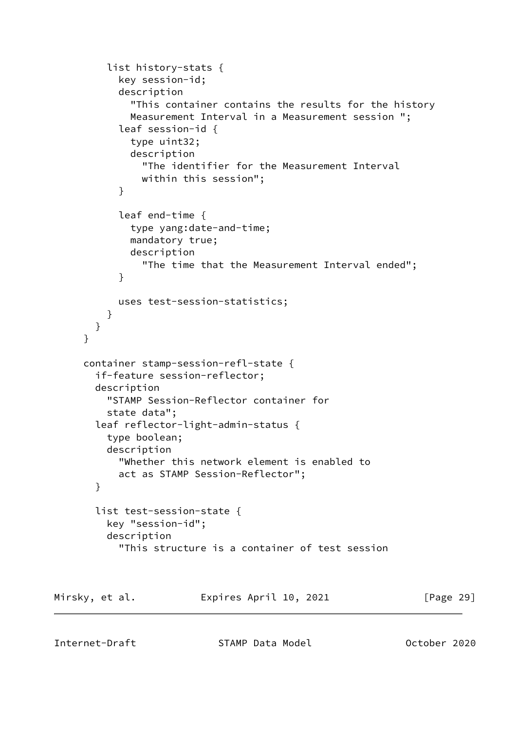```
 list history-stats {
            key session-id;
            description
              "This container contains the results for the history
              Measurement Interval in a Measurement session ";
            leaf session-id {
              type uint32;
              description
                "The identifier for the Measurement Interval
                within this session";
 }
            leaf end-time {
              type yang:date-and-time;
              mandatory true;
              description
                "The time that the Measurement Interval ended";
 }
           uses test-session-statistics;
          }
        }
      }
      container stamp-session-refl-state {
        if-feature session-reflector;
        description
          "STAMP Session-Reflector container for
          state data";
        leaf reflector-light-admin-status {
          type boolean;
          description
            "Whether this network element is enabled to
            act as STAMP Session-Reflector";
        }
        list test-session-state {
          key "session-id";
          description
            "This structure is a container of test session
Mirsky, et al. Expires April 10, 2021 [Page 29]
```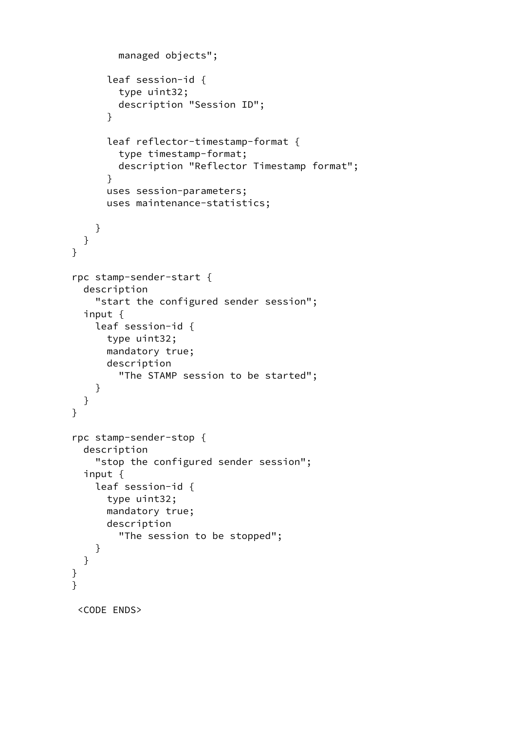```
 managed objects";
       leaf session-id {
          type uint32;
          description "Session ID";
       }
       leaf reflector-timestamp-format {
          type timestamp-format;
          description "Reflector Timestamp format";
       }
       uses session-parameters;
       uses maintenance-statistics;
     }
   }
 }
 rpc stamp-sender-start {
   description
     "start the configured sender session";
   input {
     leaf session-id {
       type uint32;
       mandatory true;
       description
          "The STAMP session to be started";
     }
   }
 }
 rpc stamp-sender-stop {
   description
     "stop the configured sender session";
   input {
     leaf session-id {
       type uint32;
       mandatory true;
       description
          "The session to be stopped";
     }
   }
 }
\overline{\ } <CODE ENDS>
```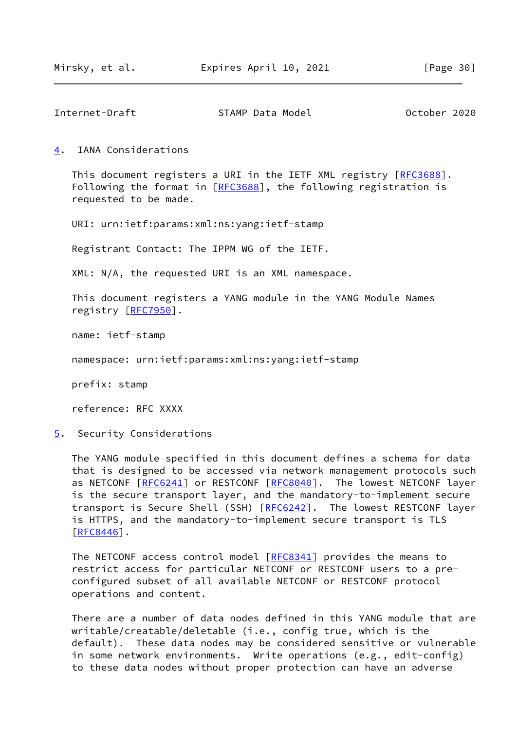<span id="page-34-1"></span>Internet-Draft STAMP Data Model October 2020

<span id="page-34-0"></span>[4](#page-34-0). IANA Considerations

This document registers a URI in the IETF XML registry [\[RFC3688](https://datatracker.ietf.org/doc/pdf/rfc3688)]. Following the format in [\[RFC3688](https://datatracker.ietf.org/doc/pdf/rfc3688)], the following registration is requested to be made.

URI: urn:ietf:params:xml:ns:yang:ietf-stamp

Registrant Contact: The IPPM WG of the IETF.

XML: N/A, the requested URI is an XML namespace.

 This document registers a YANG module in the YANG Module Names registry [\[RFC7950](https://datatracker.ietf.org/doc/pdf/rfc7950)].

name: ietf-stamp

namespace: urn:ietf:params:xml:ns:yang:ietf-stamp

prefix: stamp

reference: RFC XXXX

<span id="page-34-2"></span>[5](#page-34-2). Security Considerations

 The YANG module specified in this document defines a schema for data that is designed to be accessed via network management protocols such as NETCONF [[RFC6241\]](https://datatracker.ietf.org/doc/pdf/rfc6241) or RESTCONF [\[RFC8040](https://datatracker.ietf.org/doc/pdf/rfc8040)]. The lowest NETCONF layer is the secure transport layer, and the mandatory-to-implement secure transport is Secure Shell (SSH) [\[RFC6242](https://datatracker.ietf.org/doc/pdf/rfc6242)]. The lowest RESTCONF layer is HTTPS, and the mandatory-to-implement secure transport is TLS [\[RFC8446](https://datatracker.ietf.org/doc/pdf/rfc8446)].

The NETCONF access control model [\[RFC8341](https://datatracker.ietf.org/doc/pdf/rfc8341)] provides the means to restrict access for particular NETCONF or RESTCONF users to a pre configured subset of all available NETCONF or RESTCONF protocol operations and content.

 There are a number of data nodes defined in this YANG module that are writable/creatable/deletable (i.e., config true, which is the default). These data nodes may be considered sensitive or vulnerable in some network environments. Write operations (e.g., edit-config) to these data nodes without proper protection can have an adverse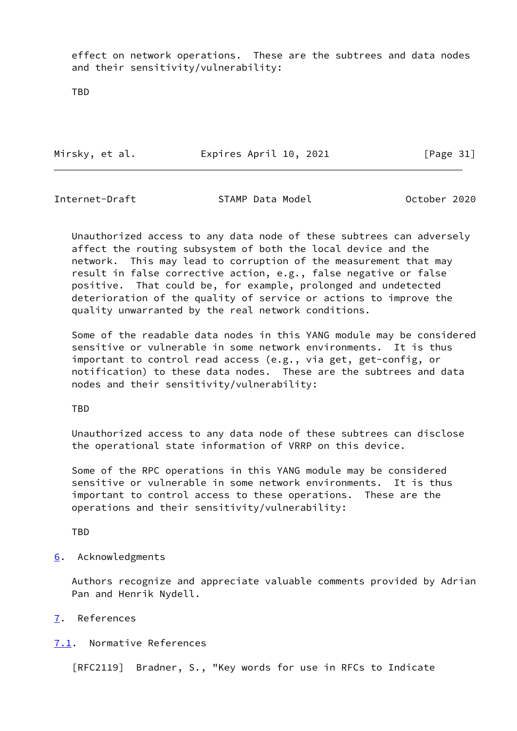effect on network operations. These are the subtrees and data nodes and their sensitivity/vulnerability:

TBD

Mirsky, et al. **Expires April 10, 2021** [Page 31]

<span id="page-35-1"></span>Internet-Draft STAMP Data Model 6 October 2020

 Unauthorized access to any data node of these subtrees can adversely affect the routing subsystem of both the local device and the network. This may lead to corruption of the measurement that may result in false corrective action, e.g., false negative or false positive. That could be, for example, prolonged and undetected deterioration of the quality of service or actions to improve the quality unwarranted by the real network conditions.

 Some of the readable data nodes in this YANG module may be considered sensitive or vulnerable in some network environments. It is thus important to control read access (e.g., via get, get-config, or notification) to these data nodes. These are the subtrees and data nodes and their sensitivity/vulnerability:

TBD

 Unauthorized access to any data node of these subtrees can disclose the operational state information of VRRP on this device.

 Some of the RPC operations in this YANG module may be considered sensitive or vulnerable in some network environments. It is thus important to control access to these operations. These are the operations and their sensitivity/vulnerability:

TBD

<span id="page-35-0"></span>[6](#page-35-0). Acknowledgments

 Authors recognize and appreciate valuable comments provided by Adrian Pan and Henrik Nydell.

- <span id="page-35-2"></span>[7](#page-35-2). References
- <span id="page-35-3"></span>[7.1](#page-35-3). Normative References

[RFC2119] Bradner, S., "Key words for use in RFCs to Indicate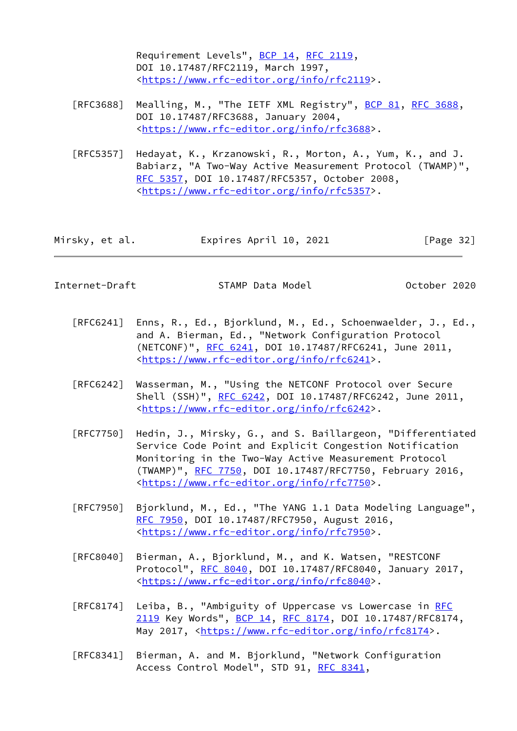Requirement Levels", [BCP 14](https://datatracker.ietf.org/doc/pdf/bcp14), [RFC 2119](https://datatracker.ietf.org/doc/pdf/rfc2119), DOI 10.17487/RFC2119, March 1997, <[https://www.rfc-editor.org/info/rfc2119>](https://www.rfc-editor.org/info/rfc2119).

- [RFC3688] Mealling, M., "The IETF XML Registry", [BCP 81](https://datatracker.ietf.org/doc/pdf/bcp81), [RFC 3688](https://datatracker.ietf.org/doc/pdf/rfc3688), DOI 10.17487/RFC3688, January 2004, <[https://www.rfc-editor.org/info/rfc3688>](https://www.rfc-editor.org/info/rfc3688).
- [RFC5357] Hedayat, K., Krzanowski, R., Morton, A., Yum, K., and J. Babiarz, "A Two-Way Active Measurement Protocol (TWAMP)", [RFC 5357,](https://datatracker.ietf.org/doc/pdf/rfc5357) DOI 10.17487/RFC5357, October 2008, <[https://www.rfc-editor.org/info/rfc5357>](https://www.rfc-editor.org/info/rfc5357).

| Mirsky, et al. | Expires April 10, 2021 | [Page 32] |
|----------------|------------------------|-----------|
|----------------|------------------------|-----------|

Internet-Draft STAMP Data Model October 2020

- [RFC6241] Enns, R., Ed., Bjorklund, M., Ed., Schoenwaelder, J., Ed., and A. Bierman, Ed., "Network Configuration Protocol (NETCONF)", [RFC 6241,](https://datatracker.ietf.org/doc/pdf/rfc6241) DOI 10.17487/RFC6241, June 2011, <[https://www.rfc-editor.org/info/rfc6241>](https://www.rfc-editor.org/info/rfc6241).
- [RFC6242] Wasserman, M., "Using the NETCONF Protocol over Secure Shell (SSH)", [RFC 6242](https://datatracker.ietf.org/doc/pdf/rfc6242), DOI 10.17487/RFC6242, June 2011, <[https://www.rfc-editor.org/info/rfc6242>](https://www.rfc-editor.org/info/rfc6242).
- [RFC7750] Hedin, J., Mirsky, G., and S. Baillargeon, "Differentiated Service Code Point and Explicit Congestion Notification Monitoring in the Two-Way Active Measurement Protocol (TWAMP)", [RFC 7750](https://datatracker.ietf.org/doc/pdf/rfc7750), DOI 10.17487/RFC7750, February 2016, <[https://www.rfc-editor.org/info/rfc7750>](https://www.rfc-editor.org/info/rfc7750).
- [RFC7950] Bjorklund, M., Ed., "The YANG 1.1 Data Modeling Language", [RFC 7950,](https://datatracker.ietf.org/doc/pdf/rfc7950) DOI 10.17487/RFC7950, August 2016, <[https://www.rfc-editor.org/info/rfc7950>](https://www.rfc-editor.org/info/rfc7950).
- [RFC8040] Bierman, A., Bjorklund, M., and K. Watsen, "RESTCONF Protocol", [RFC 8040](https://datatracker.ietf.org/doc/pdf/rfc8040), DOI 10.17487/RFC8040, January 2017, <[https://www.rfc-editor.org/info/rfc8040>](https://www.rfc-editor.org/info/rfc8040).
- [RFC8174] Leiba, B., "Ambiguity of Uppercase vs Lowercase in [RFC](https://datatracker.ietf.org/doc/pdf/rfc2119) [2119](https://datatracker.ietf.org/doc/pdf/rfc2119) Key Words", [BCP 14](https://datatracker.ietf.org/doc/pdf/bcp14), [RFC 8174,](https://datatracker.ietf.org/doc/pdf/rfc8174) DOI 10.17487/RFC8174, May 2017, [<https://www.rfc-editor.org/info/rfc8174](https://www.rfc-editor.org/info/rfc8174)>.
- [RFC8341] Bierman, A. and M. Bjorklund, "Network Configuration Access Control Model", STD 91, [RFC 8341](https://datatracker.ietf.org/doc/pdf/rfc8341),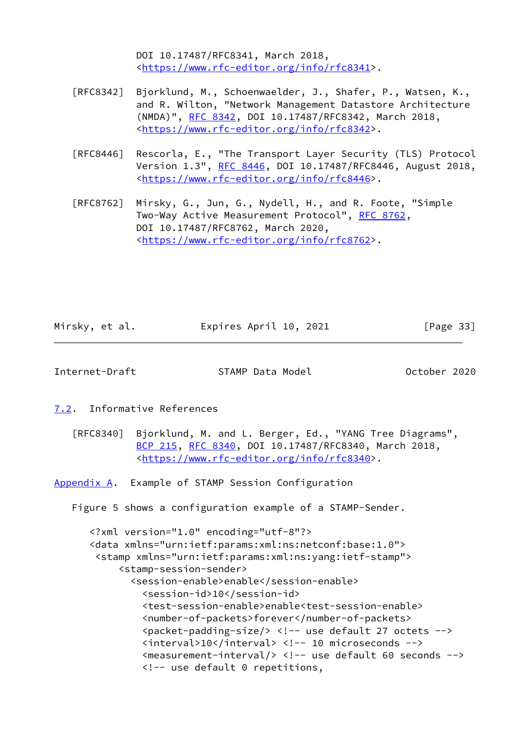DOI 10.17487/RFC8341, March 2018, <[https://www.rfc-editor.org/info/rfc8341>](https://www.rfc-editor.org/info/rfc8341).

- [RFC8342] Bjorklund, M., Schoenwaelder, J., Shafer, P., Watsen, K., and R. Wilton, "Network Management Datastore Architecture (NMDA)", [RFC 8342,](https://datatracker.ietf.org/doc/pdf/rfc8342) DOI 10.17487/RFC8342, March 2018, <[https://www.rfc-editor.org/info/rfc8342>](https://www.rfc-editor.org/info/rfc8342).
- [RFC8446] Rescorla, E., "The Transport Layer Security (TLS) Protocol Version 1.3", [RFC 8446](https://datatracker.ietf.org/doc/pdf/rfc8446), DOI 10.17487/RFC8446, August 2018, <[https://www.rfc-editor.org/info/rfc8446>](https://www.rfc-editor.org/info/rfc8446).
- [RFC8762] Mirsky, G., Jun, G., Nydell, H., and R. Foote, "Simple Two-Way Active Measurement Protocol", [RFC 8762](https://datatracker.ietf.org/doc/pdf/rfc8762), DOI 10.17487/RFC8762, March 2020, <[https://www.rfc-editor.org/info/rfc8762>](https://www.rfc-editor.org/info/rfc8762).

Mirsky, et al. Expires April 10, 2021 [Page 33]

<span id="page-37-1"></span>Internet-Draft STAMP Data Model October 2020

<span id="page-37-0"></span>[7.2](#page-37-0). Informative References

 [RFC8340] Bjorklund, M. and L. Berger, Ed., "YANG Tree Diagrams", [BCP 215](https://datatracker.ietf.org/doc/pdf/bcp215), [RFC 8340,](https://datatracker.ietf.org/doc/pdf/rfc8340) DOI 10.17487/RFC8340, March 2018, <[https://www.rfc-editor.org/info/rfc8340>](https://www.rfc-editor.org/info/rfc8340).

<span id="page-37-2"></span>[Appendix A.](#page-37-2) Example of STAMP Session Configuration

Figure 5 shows a configuration example of a STAMP-Sender.

 <?xml version="1.0" encoding="utf-8"?> <data xmlns="urn:ietf:params:xml:ns:netconf:base:1.0"> <stamp xmlns="urn:ietf:params:xml:ns:yang:ietf-stamp"> <stamp-session-sender> <session-enable>enable</session-enable> <session-id>10</session-id> <test-session-enable>enable<test-session-enable> <number-of-packets>forever</number-of-packets> <packet-padding-size/> <!-- use default 27 octets --> <interval>10</interval> <!-- 10 microseconds --> <measurement-interval/> <!-- use default 60 seconds --> <!-- use default 0 repetitions,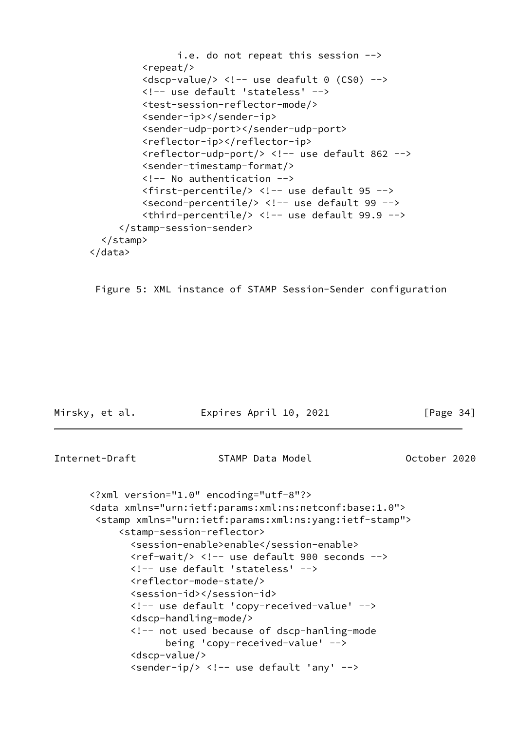```
 i.e. do not repeat this session -->
           <repeat/>
          \langledscp-value/> \langle!-- use deafult 0 (CS0) -->
           <!-- use default 'stateless' -->
           <test-session-reflector-mode/>
           <sender-ip></sender-ip>
           <sender-udp-port></sender-udp-port>
           <reflector-ip></reflector-ip>
           <reflector-udp-port/> <!-- use default 862 -->
           <sender-timestamp-format/>
           <!-- No authentication -->
           <first-percentile/> <!-- use default 95 -->
           <second-percentile/> <!-- use default 99 -->
          \triangleleftthird-percentile/> \triangleleft!-- use default 99.9 -->
      </stamp-session-sender>
   </stamp>
 </data>
```
Figure 5: XML instance of STAMP Session-Sender configuration

<span id="page-38-0"></span>

| Mirsky, et al. | Expires April 10, 2021 | $\lceil \text{Page } 34 \rceil$ |
|----------------|------------------------|---------------------------------|
|                |                        |                                 |
| Internet-Draft | STAMP Data Model       | October 2020                    |

```
 <?xml version="1.0" encoding="utf-8"?>
 <data xmlns="urn:ietf:params:xml:ns:netconf:base:1.0">
  <stamp xmlns="urn:ietf:params:xml:ns:yang:ietf-stamp">
      <stamp-session-reflector>
        <session-enable>enable</session-enable>
       \langle \text{ref-wait} \rangle \langle \cdot \rangle -- use default 900 seconds -->
        <!-- use default 'stateless' -->
        <reflector-mode-state/>
        <session-id></session-id>
        <!-- use default 'copy-received-value' -->
        <dscp-handling-mode/>
        <!-- not used because of dscp-hanling-mode
               being 'copy-received-value' -->
        <dscp-value/>
        <sender-ip/> <!-- use default 'any' -->
```